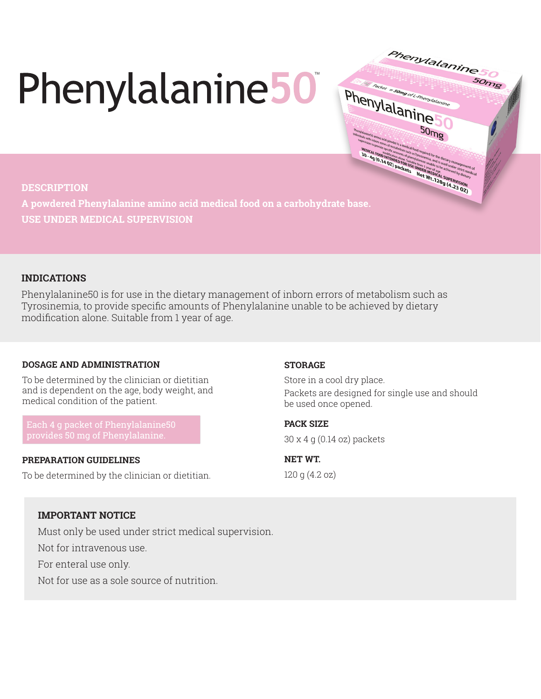# Phenylalanine50

### **DESCRIPTION**

**MEDICAL FORD DRUGS IN THE WEILDING CANSION**<br> **MEDICAL FORD DRUGS IN THE WEILDING CANSION**<br> **MEDICAL FORD DRUGS IN THE WEILDING CAN ARTIST OF A REAL PROPERTY AND CONSISTENCE OF A REAL PROPERTY AND ART STATE PROPERTY AND AR A powdered Phenylalanine amino acid medical food on a carbohydrate base. USE UNDER MEDICAL SUPERVISION**

# **INDICATIONS**

Phenylalanine50 is for use in the dietary management of inborn errors of metabolism such as Tyrosinemia, to provide specific amounts of Phenylalanine unable to be achieved by dietary modification alone. Suitable from 1 year of age.

# **DOSAGE AND ADMINISTRATION**

To be determined by the clinician or dietitian and is dependent on the age, body weight, and medical condition of the patient.

### **PREPARATION GUIDELINES**

To be determined by the clinician or dietitian.

### **STORAGE**

Store in a cool dry place. Packets are designed for single use and should be used once opened.

Phenylalanine

 $50<sub>mg</sub>$ 

hcker = samg or L-Phenylalanine

Phenylalanine

50<sub>mg</sub>

**PACK SIZE**  30 x 4 g (0.14 oz) packets

**NET WT.**  120 g (4.2 oz)

# **IMPORTANT NOTICE**

Must only be used under strict medical supervision.

Not for intravenous use.

For enteral use only.

Not for use as a sole source of nutrition.